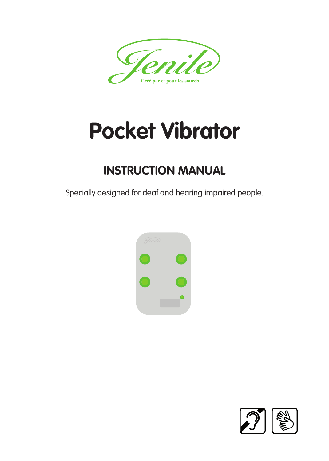

# **Pocket Vibrator**

### **INSTRUCTION MANUAL**

Specially designed for deaf and hearing impaired people.



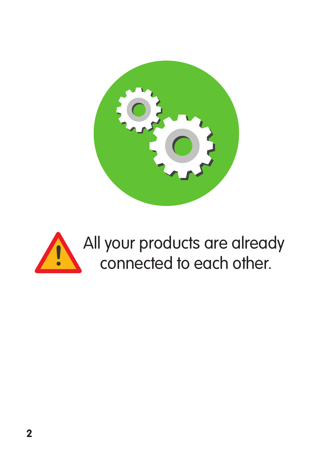

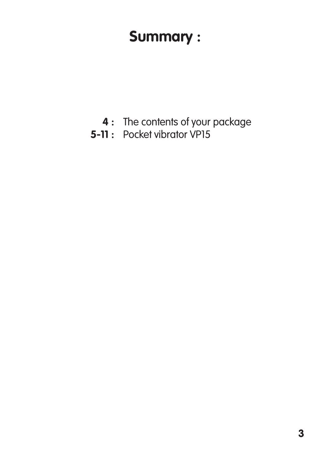## **Summary :**

- **4** : The contents of your package
- **5-11:** Pocket vibrator VP15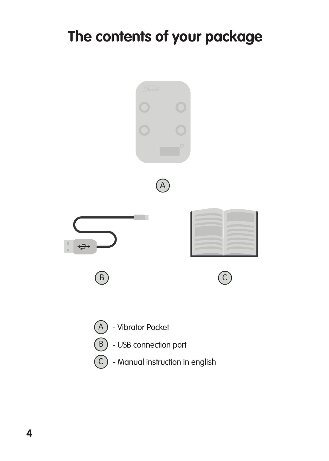## **The contents of your package**

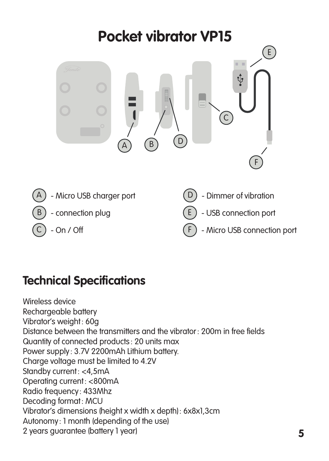

#### **Technical Specifications**

Wireless device Rechargeable battery Vibrator's weight : 60g Distance between the transmitters and the vibrator : 200m in free fields Quantity of connected products : 20 units max Power supply : 3.7V 2200mAh Lithium battery. Charge voltage must be limited to 4.2V Standby current: <4,5mA Operating current : <800mA Radio frequency : 433Mhz Decoding format: MCU Vibrator's dimensions (height x width x depth) : 6x8x1,3cm Autonomy : 1 month (depending of the use) 2 years guarantee (battery 1 year)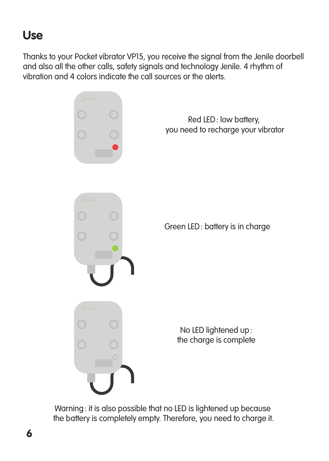#### **Use**

Thanks to your Pocket vibrator VP15, you receive the signal from the Jenile doorbell and also all the other calls, safety signals and technology Jenile. 4 rhythm of vibration and 4 colors indicate the call sources or the alerts.



Warning : it is also possible that no LED is lightened up because the battery is completely empty. Therefore, you need to charge it.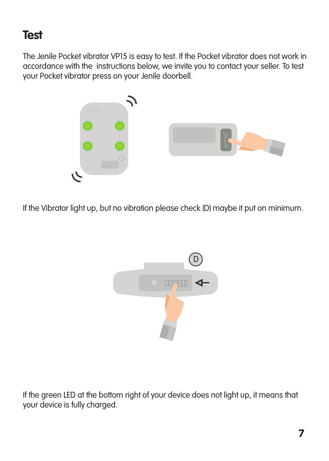#### **Test**

The Jenile Pocket vibrator VP15 is easy to test. If the Pocket vibrator does not work in accordance with the instructions below, we invite you to contact your seller. To test your Pocket vibrator press on your Jenile doorbell.



If the Vibrator light up, but no vibration please check (D) maybe it put on minimum.



If the green LED at the bottom right of your device does not light up, it means that your device is fully charged.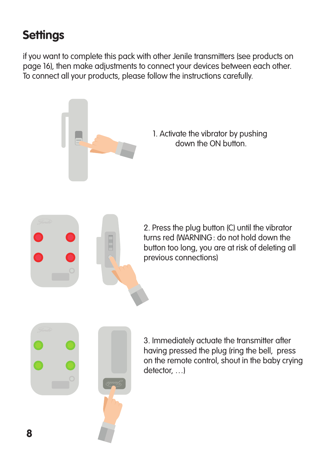### **Settings**

if you want to complete this pack with other Jenile transmitters (see products on page 16), then make adjustments to connect your devices between each other. To connect all your products, please follow the instructions carefully.

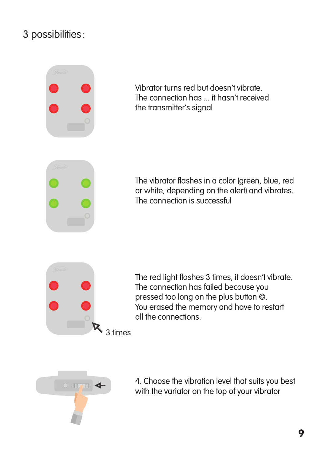#### 3 possibilities :



Vibrator turns red but doesn't vibrate. The connection has ... it hasn't received the transmitter's signal

The vibrator flashes in a color (green, blue, red or white, depending on the alert) and vibrates. The connection is successful



The red light flashes 3 times, it doesn't vibrate. The connection has failed because you pressed too long on the plus button ©. You erased the memory and have to restart all the connections.



4. Choose the vibration level that suits you best with the variator on the top of your vibrator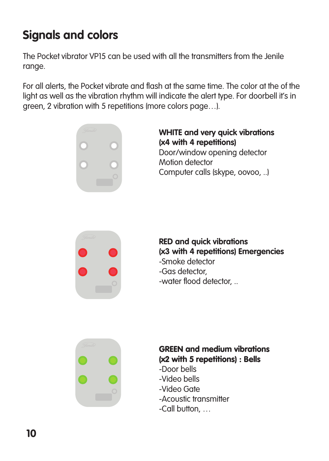### **Signals and colors**

The Pocket vibrator VP15 can be used with all the transmitters from the Jenile range.

For all alerts, the Pocket vibrate and flash at the same time. The color at the of the light as well as the vibration rhythm will indicate the alert type. For doorbell it's in green, 2 vibration with 5 repetitions (more colors page…).



#### **WHITE and very quick vibrations (x4 with 4 repetitions)** Door/window opening detector Motion detector Computer calls (skype, oovoo, ..)



#### **RED and quick vibrations (x3 with 4 repetitions) Emergencies**

- -Smoke detector
- -Gas detector,
- -water flood detector, ..



#### GREEN and medium vibrations (x2 with 5 repetitions) : Bells

- -Door bells
- -Video bells
- -Video Gate
- -Acoustic transmitter
- -Call button, …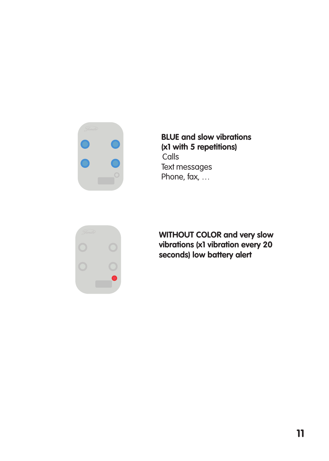

**BLUE and slow vibrations (x1 with 5 repetitions) Calls** Text messages Phone, fax, …



**WITHOUT COLOR and very slow vibrations (x1 vibration every 20 seconds) low battery alert**